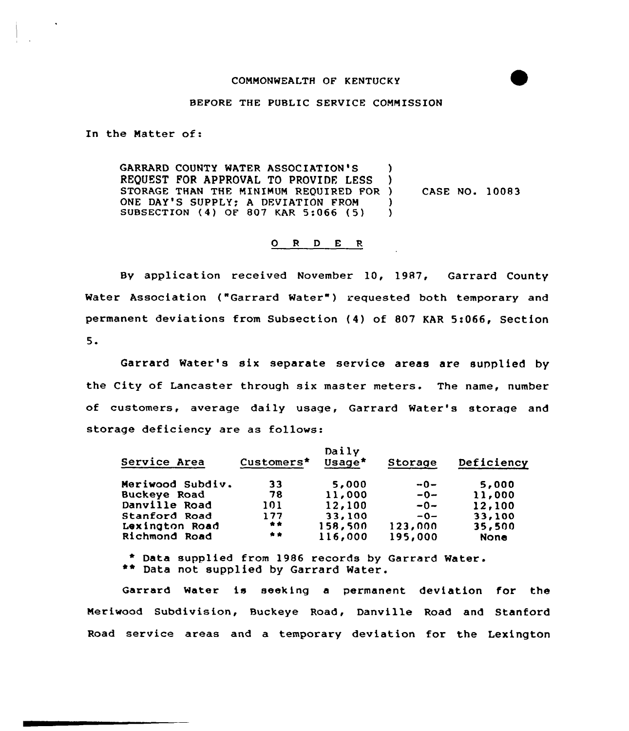## BEFORE THE PUBLIC SERVICE COMMISSION

In the Matter of:

GARRARD COUNTY WATER ASSOCIATION'S ) REQUEST FOR APPROVAL TO PROVIDE LESS ) STORAGE THAN THE MINIMUM REQUIRED FOR )<br>ONE DAY'S SUPPLY: A DEVIATION FROM ) ONE DAY'S SUPPLY; A DEVIATION FROM )<br>SUBSECTION (4) OF 807 KAR 5:066 (5) ) SUBSECTION (4) OF 807 KAR 5:066 (5) CASE NO. 10083

## 0 <sup>R</sup> <sup>D</sup> E <sup>R</sup>

By application received November 10, 1987, Garrard County Water Association ("Garrard Water") requested both temporary and permanent deviations from Subsection (4) of 807 KAR 5:066, Section 5.

Garrard Water's six separate service areas are supplied by the City of Lancaster through six master meters. The name, number of customers, average daily usage, Garrard Water's storage and storage deficiency are as follows:

| Service Area     | Customers* | Daily<br>Usage* | Storage | Deficiency  |
|------------------|------------|-----------------|---------|-------------|
| Meriwood Subdiv. | 33         | 5,000           | $-0-$   | 5,000       |
| Buckeye Road     | 78         | 11,000          | $-0-$   | 11,000      |
| Danville Road    | 101        | 12,100          | $-0-$   | 12,100      |
| Stanford Road    | 177        | 33,100          | $-0-$   | 33,100      |
| Lexington Road   | **         | 158,500         | 123,000 | 35,500      |
| Richmond Road    | **         | 116,000         | 195,000 | <b>None</b> |

\* Data supplied from 1986 records by Garrard Water. \*\* Data not supplied by Garrard Water.

Garrard Water is seeking <sup>a</sup> permanent deviation for the Meriwood Subdivision, Buckeye Road, Danville Road and Stanford Road service areas and a temporary deviation for the Lexington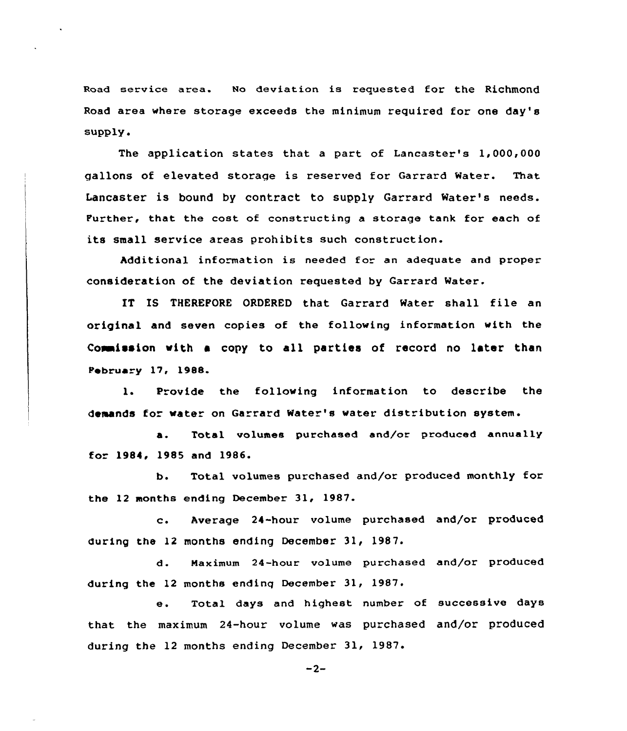Road service area. No deviation is requested for the Richmond Road area where storage exceeds the minimum required for one day' supply.

The application states that a part of Lancaster's 1,000,000 gallons of elevated storage is reserved for Garrard Water. That Lancaster is bound by contract to supply Garrard Water's needs. Purther, that the cost of constructing a storage tank for each of its small service areas prohibits such construction.

Additional information is needed for an adequate and proper consideration of the deviation requested by Garrard Water.

IT IS THEREPORE ORDERED that Garrard Water shall file an original and seven copies of the following information with the Commission with a copy to all parties of record no later than Pebruary 17, 1988.

1. Provide the following information to describe the demands for water on Garrard Water's water distribution system.

a. Total volumes purchased and/or produced annually for 1984, 1985 and 1986.

b. Total volumes purchased and/or produced monthly for the 12 months ending December 31, 1987.

c. Average 24-hour volume purchased and/or produced during the 12 months ending December 31< 1987.

d. Maximum 24-hour volume purchased and/or produced during the 12 months endinq December 31, 1987

Total days and highest number of successive days  $\mathbf{e}$ . that the maximum 24-hour volume was purchased and/or produced during the 12 months ending December 31, 1987.

 $-2-$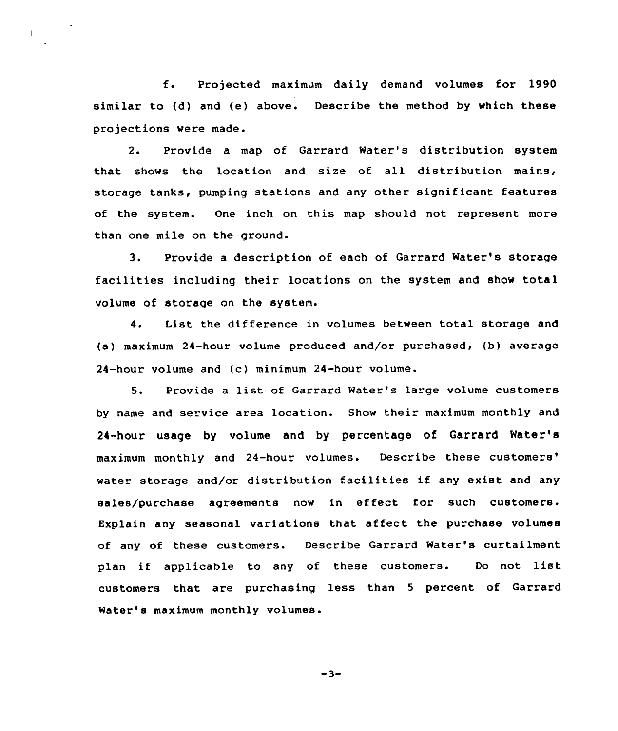f. Projected maximum daily demand volumes for <sup>1990</sup> similar to (d) and (e) above. Describe the method by which these projections were made.

2. Provide a map of Garrard Water's distribution system that shows the location and size of all distribution mains, storage tanks, pumping stations and any other significant features of the system. One inch on this map should not represent more than one mile on the ground.

3. Provide a description of each of Garrard Water's storage facilities including their locations on the system and show total volume of storage on the system.

4. Kist the difference in volumes between total storage and (a) maximum 24-hour volume produced and/or purchased, (b) average 24-hour volume and (c) minimum 24-hour volume.

5. Provide <sup>a</sup> list of Garrard Water's large volume customers by name and service area location. Show their maximum monthly and 24-hour usage by volume and by percentage of Garrard Water' maximum monthly and 24-hour volumes. Describe these customers' water storage and/or distribution facilities if any exist and any sales/purchase agreements now in effect for such customers. Explain any seasonal variations that affect the purchase volumes of any of these customers. Describe Garrard Water's curtailment plan if applicable to any of these customers. Do not list customers that are purchasing less than <sup>5</sup> percent of Garrard Water's maximum monthly volumes.

 $-3-$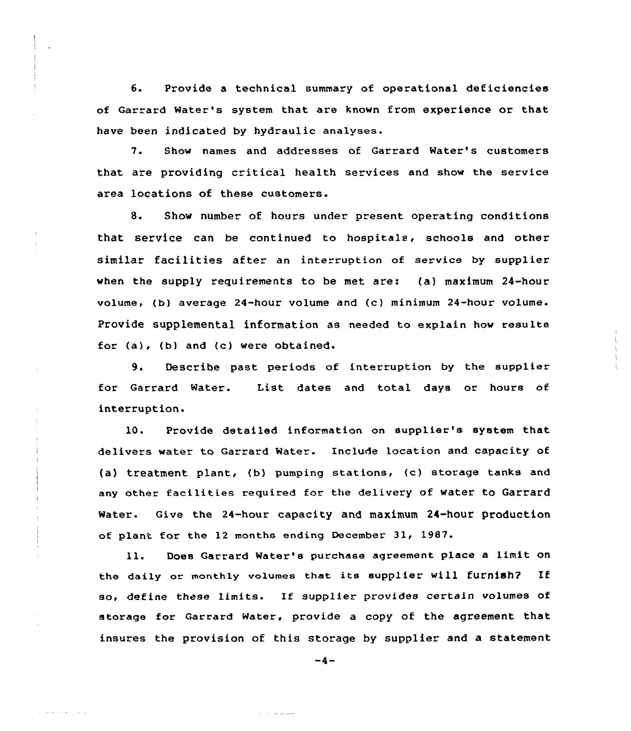6. Provide a technical summary of operational deficiencies of Garrard Water's system that are known from experience or that have been indicated by hydraulic analyses.

7. Show names and addresses of Garrard Water's customers that are providing critical health services and show the service area locations of these customers.

8. Show number of hours under present operating conditions that service can be continued to hospitals, schools and other similar facilities after an interruption of service by supplier when the supply requirements to be met are: (a} maximum 24-hour volume, (b) average 24-hour volume and (c} minimum 24-hour volume Provide supplemental information as needed to explain how results for (a), (b) and (c) were obtained.

9. Describe past periods of interruption by the supplier for Garrard Water. List dates and total days or hours of interruption.

10. Provide detailed information on supplier's system that delivers water to Garrard Mater. Include location and capacity of (a) treatment plant, (b) pumping stations, (c) storage tanks and any other facilities required for the delivery of water to Garrard water. Give the 24-hour capacity and maximum 24-hour production of plant for the 12 months ending December 31, 1987.

ll. Does Garrard Water's purchase agreement place <sup>a</sup> limit on the daily or monthly volumes that its supplier will furnish? If so, define these limits. If supplier provides certain volumes of storage for Garrard Water, provide a copy of the agreement that insures the provision of this storage by supplier and a statement

 $-4-$ 

سند ساعت با الله

المتوارث القائلة المستقلة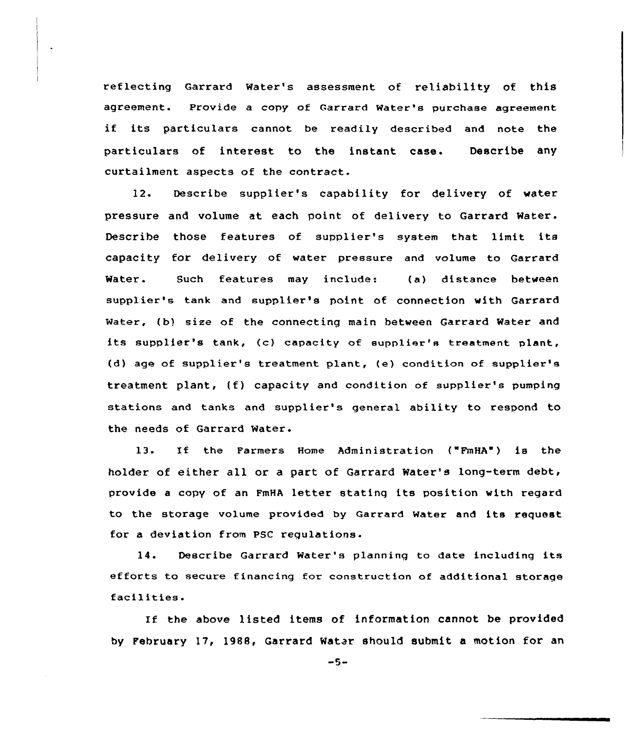reflecting Garrard Water's assessment of reliability of this agreement. Provide a copy of Carrard Water's purchase agreement if its particulars cannot be readily described and note the particulars of interest to the instant case. Describe any curtailment aspects of the contract.

12. Describe supplier's capability for delivery of water pressure and volume at each point of delivery to Garrard Water. Describe those features of supplier's system that limit its capacity for delivery of water pressure and volume to Garrard Water. Such features may include: (a) distance between supplier's tank and supplier's point of connection with Garrard Water, (b) size of the connecting main between Garrard Water and its supplier's tank, (c) capacity of supplier's treatment plant, (d) age of supplier's treatment plant, (e) condition of supplier's treatment plant, (f) capacity and condition of supplier's pumping stations and tanks and supplier's general ability to respond to the needs of Garrard Water.

13. If the Farmers Home Administration ("FmHA") is the holder of either all or a part of Garrard Water's long-term debt, provide <sup>a</sup> copy of an FmHA letter stating its position with regard to the storage volume provided by Qarrard Water and its request for a deviation from PSC regulations.

14. Describe Garrard Water's planning to date including its efforts to secure financing for construction of additional storage facilities.

If the above listed items of information cannot be provided by February 17, 1988, Garrard Water should submit a motion for an

 $-5-$